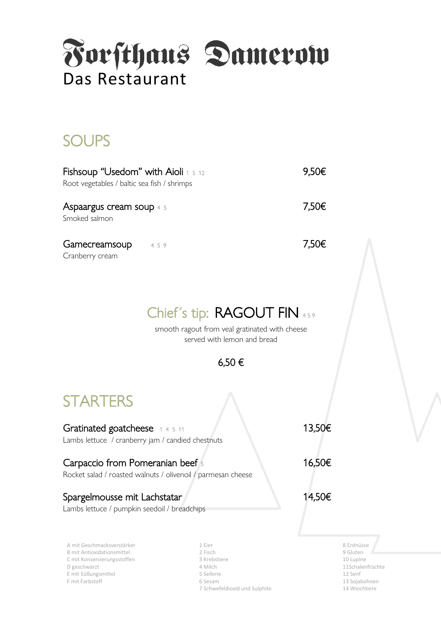

## **SOUPS**

| <b>Fishsoup "Usedom" with Aioli</b> 1 5 12<br>Root vegetables / baltic sea fish / shrimps | 9.50€ |
|-------------------------------------------------------------------------------------------|-------|
| <b>Aspaargus cream soup</b> 4.5<br>Smoked salmon                                          | 7,50€ |
| Gamecreamsoup<br>459<br>Cranberry cream                                                   | 7,50€ |

### Chief's tip: RAGOUT FIN 459

smooth ragout from veal gratinated with cheese served with lemon and bread



## **STARTERS**

Gratinated goatcheese  $1\,4\,5\,11$  13,50€ Lambs lettuce / cranberry jam / candied chestnuts

#### Carpaccio from Pomeranian beef  $5$  16,50€

#### Rocket salad / roasted walnuts / olivenoil / parmesan cheese

#### Spargelmousse mit Lachstatar 14,50€

Lambs lettuce / pumpkin seedoil / breadchips

A mit Geschmacksverstärker 1992 und 1992 und 1993 und 1993 und 1994 und 1994 und 1994 und 1994 und 1994 und 19<br>1 Eier 8 Erdnüsse 1994 und 1994 und 1994 und 1994 und 1994 und 1994 und 1994 und 1994 und 1994 und 1994 und 19<br> B mit Antioxidationsmittel 2 Fisch 9 Gluten C mit Konservierungsstoffen 3 Krebstiere 10 Lupine D geschwärzt 4 Milch 11Schalenfrüchte E mit Süßungsmittel 5 Sellerie 12 Senf F mit Farbstoff 6 Sesam 13 Sojabohnen 13 Sojabohnen 13 Sojabohnen 13 Sojabohnen 13 Sojabohnen 13 Sojabohnen 13 Sojabohnen 13 Sojabohnen 13 Sojabohnen 13 Sojabohnen 13 Sojabohnen 13 Sojabohnen 13 Sojabohnen 13 Sojabohnen 13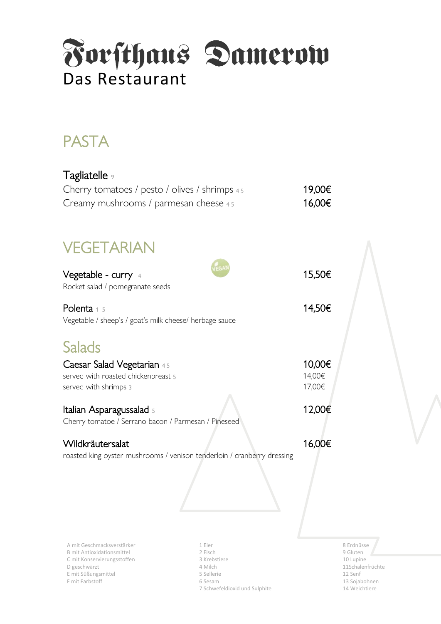

# PASTA

| Tagliatelle <sub>9</sub><br>Cherry tomatoes / pesto / olives / shrimps 45<br>Creamy mushrooms / parmesan cheese 45 | 19,00€<br>16,00€           |  |
|--------------------------------------------------------------------------------------------------------------------|----------------------------|--|
| VEGETARIAN                                                                                                         |                            |  |
| EGA<br><b>Vegetable - curry</b> 4<br>Rocket salad / pomegranate seeds                                              | 15,50€                     |  |
| Polenta 1 5<br>Vegetable / sheep's / goat's milk cheese/ herbage sauce                                             | 14,50€                     |  |
| <b>Salads</b>                                                                                                      |                            |  |
| Caesar Salad Vegetarian 45<br>served with roasted chickenbreast 5<br>served with shrimps 3                         | 10,00€<br>14,00€<br>17,00€ |  |
| Italian Asparagussalad 5<br>Cherry tomatoe / Serrano bacon / Parmesan / Pineseed                                   | 12,00€                     |  |
| Wildkräutersalat<br>roasted king oyster mushrooms / venison tenderloin / cranberry dressing                        | 16,00€                     |  |

A mit Geschmacksverstärker 1 Eier 1 Eier 1 Eier 1 Eier 1 Eier 1 Eier 1 Antioxidationsmittel 1 Eier 1 B Erdnüsse<br>1 Eisch 1 Eier 1 Eier 1 Eier 1 B eine 1 B eine 1 B eine 1 B eine 1 B eine 1 B eine 1 B eine 1 B eine 1 B eine B mit Antioxidationsmittel 2 Fisch 9 Gluten C mit Konservierungsstoffen and alle version of 3 Krebstiere 10 Lupine 10 Lupine D geschwärzt 4 Milch 11Schalenfrüchte E mit Süßungsmittel 5 Sellerie 12 Senf F mit Farbstoff **6 Sesam 13 Sojabohnen** 13 Sojabohnen 13 Sojabohnen 13 Sojabohnen 13 Sojabohnen 13 Sojabohnen 13 Sojabohnen 13 Sojabohnen 13 Sojabohnen 13 Sojabohnen 13 Sojabohnen 13 Sojabohnen 13 Sojabohnen 13 Sojabohnen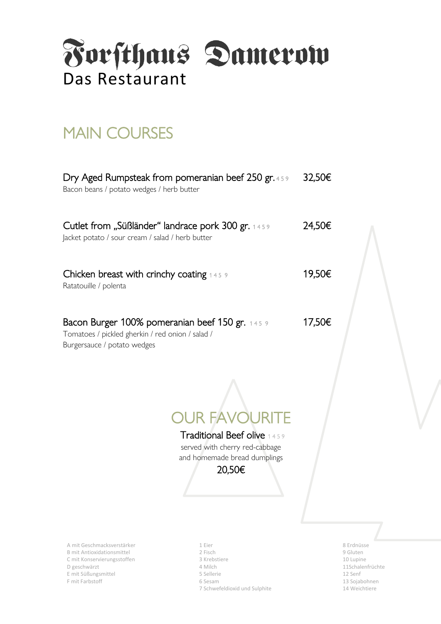

## **MAIN COURSES**

| Dry Aged Rumpsteak from pomeranian beef 250 gr. 459<br>Bacon beans / potato wedges / herb butter                                   | 32,50€ |
|------------------------------------------------------------------------------------------------------------------------------------|--------|
| <b>Cutlet from "Süßländer" landrace pork 300 gr.</b> 1459<br>Jacket potato / sour cream / salad / herb butter                      | 24,50€ |
| Chicken breast with crinchy coating $145.9$<br>Ratatouille / polenta                                                               | 19,50€ |
| Bacon Burger 100% pomeranian beef 150 gr. 145 9<br>Tomatoes / pickled gherkin / red onion / salad /<br>Burgersauce / potato wedges | 17,50€ |
|                                                                                                                                    |        |

OUR FAVOURITE Traditional Beef olive 1 4 5 9

served with cherry red-cabbage and homemade bread dumplings

#### 20,50€

A mit Geschmacksverstärker 1 Eier 1 Eier 1 Eier 1 Eier 1 Eier 1 Eier 1 Beschwart ist zu dem Statisse B mit Antioxidationsmittel 2 Fisch 9 Gluten C mit Konservierungsstoffen 3 Krebstiere 10 Lupine D geschwärzt 4 Milch 11Schalenfrüchte E mit Süßungsmittel 5 Sellerie 12 Senf F mit Farbstoff **6 Sesam 13 Sojabohnen** 13 Sojabohnen 13 Sojabohnen 13 Sojabohnen 13 Sojabohnen 13 Sojabohnen 13 Sojabohnen 13 Sojabohnen 13 Sojabohnen 13 Sojabohnen 13 Sojabohnen 13 Sojabohnen 13 Sojabohnen 13 Sojabohnen

- 
- 
- 
- 
- 7 Schwefeldioxid und Sulphite 14 Weichtiere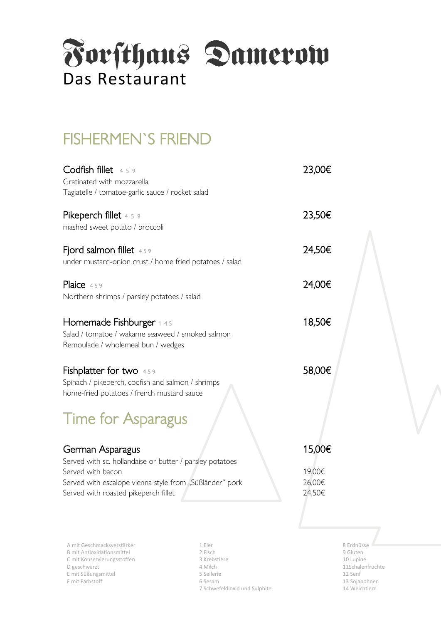

## FISHERMEN`S FRIEND

| $\textsf{Codfish\ filter}$ 459<br>Gratinated with mozzarella                                                                                                                                         | 23,00€                               |
|------------------------------------------------------------------------------------------------------------------------------------------------------------------------------------------------------|--------------------------------------|
| Tagiatelle / tomatoe-garlic sauce / rocket salad<br>Pikeperch fillet 4 5 9                                                                                                                           | 23,50€                               |
| mashed sweet potato / broccoli                                                                                                                                                                       |                                      |
| Fjord salmon fillet 459<br>under mustard-onion crust / home fried potatoes / salad                                                                                                                   | 24,50€                               |
| Plaice 459<br>Northern shrimps / parsley potatoes / salad                                                                                                                                            | 24,00€                               |
| Homemade Fishburger 1 4 5<br>Salad / tomatoe / wakame seaweed / smoked salmon<br>Remoulade / wholemeal bun / wedges                                                                                  | 18,50€                               |
| <b>Fishplatter for two</b> 459<br>Spinach / pikeperch, codfish and salmon / shrimps<br>home-fried potatoes / french mustard sauce<br><b>Time for Asparagus</b>                                       | 58,00€                               |
| German Asparagus<br>Served with sc. hollandaise or butter / parsley potatoes<br>Served with bacon<br>Served with escalope vienna style from "Süßländer" pork<br>Served with roasted pikeperch fillet | 15,00€<br>19,00€<br>26,00€<br>24,50€ |
|                                                                                                                                                                                                      |                                      |

A mit Geschmacksverstärker 1 Eier 1 Eier 1 Eier 1 Eier 1 Eier 1 Eier 1 Eier 1 Eier 1 Eier 1 Eier 1 Eier 1 Eier 1 Eier 1 Eier 1 Eier 1 Eier 1 Eier 1 Eier 1 Eier 1 Eier 1 Eier 1 Eier 1 Eier 1 Eier 1 Eier 1 Eier 1 Eier 1 Eier B mit Antioxidationsmittel 2 Fisch C mit Konservierungsstoffen and alle version of 3 Krebstiere 10 Lupine 10 Lupine D geschwärzt 4 Milch 11Schalenfrüchte E mit Süßungsmittel 12 Senf<br>
E mit Farbstoff 12 Senf<br>
5 Sellerie 13 Solab 13 Sojab 13 Sojab 13 Sojab 13 Sojab 13 Sojab 13 Sojab 13 Sojab 13 Sojab 13 Sojab 13 Sojab

Farbstoff 6 Sesam 13 Sojabohnen 7 Schwefeldioxid und Sulphite 14 Weichtiere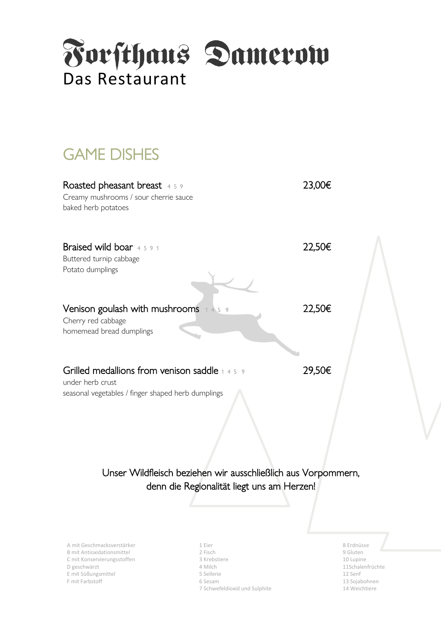

# GAME DISHES

| Roasted pheasant breast 459<br>Creamy mushrooms / sour cherrie sauce<br>baked herb potatoes                              | 23,00€ |  |
|--------------------------------------------------------------------------------------------------------------------------|--------|--|
| Braised wild boar 4 5 9 1<br>Buttered turnip cabbage<br>Potato dumplings                                                 | 22,50€ |  |
| Venison goulash with mushrooms $+45.9$<br>Cherry red cabbage<br>homemead bread dumplings                                 | 22,50€ |  |
| Grilled medallions from venison saddle 1 4 5 9<br>under herb crust<br>seasonal vegetables / finger shaped herb dumplings | 29,50€ |  |

Unser Wildfleisch beziehen wir ausschließlich aus Vorpommern, denn die Regionalität liegt uns am Herzen!

A mit Geschmacksverstärker 1 Eier 1 Eier 1 Eier 1 Eier 1 Eier 1 Eier 1 Eier 1 Eier 1 Eier 1 Eier 1 Eier 1 Eier B mit Antioxidationsmittel **2** Fisch 2 Fisch 9 Gluten 9 Gluten C mit Konservierungsstoffen auch auch der State auch der State auch der State auch der State auch der State auch der State auch der State auch der State auch der State auch der State auch der State auch der State auch der D geschwärzt 4 Milch 11Schalenfrüchte E mit Süßungsmittel 5 Sellerie 12 Senf F mit Farbstoff 6 Sesam 13 Sojabohnen 13 Sojabohnen 13 Sojabohnen 13 Sojabohnen 13 Sojabohnen 13 Sojabohnen 13 Sojabohnen 13 Sojabohnen 13 Sojabohnen 13 Sojabohnen 13 Sojabohnen 13 Sojabohnen 13 Sojabohnen 13 Sojabohnen 13